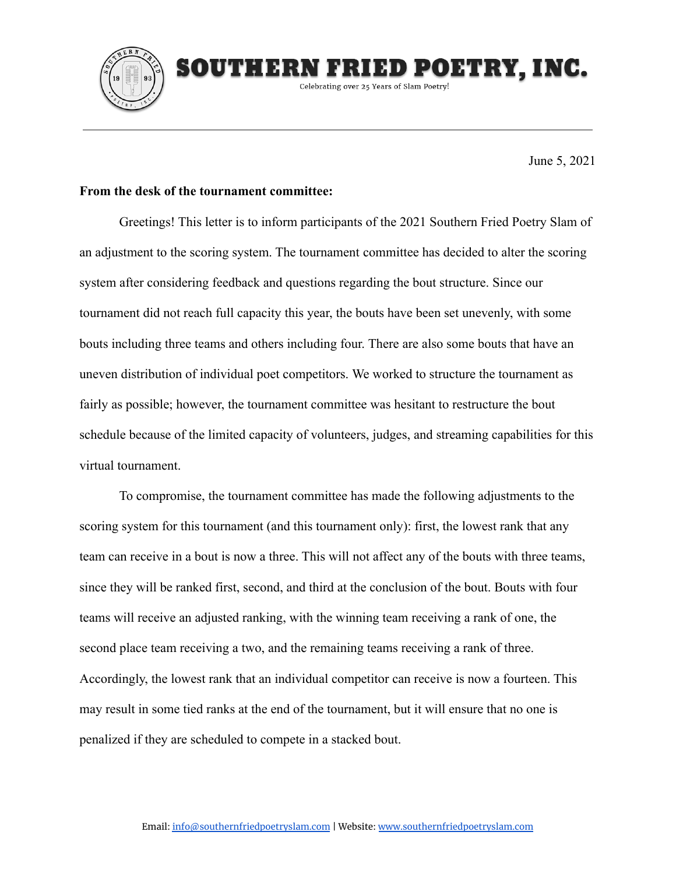

June 5, 2021

IED POETRY, INC.

## **From the desk of the tournament committee:**

SOUTHERN E

Greetings! This letter is to inform participants of the 2021 Southern Fried Poetry Slam of an adjustment to the scoring system. The tournament committee has decided to alter the scoring system after considering feedback and questions regarding the bout structure. Since our tournament did not reach full capacity this year, the bouts have been set unevenly, with some bouts including three teams and others including four. There are also some bouts that have an uneven distribution of individual poet competitors. We worked to structure the tournament as fairly as possible; however, the tournament committee was hesitant to restructure the bout schedule because of the limited capacity of volunteers, judges, and streaming capabilities for this virtual tournament.

Celebrating over 25 Years of Slam Poetry!

To compromise, the tournament committee has made the following adjustments to the scoring system for this tournament (and this tournament only): first, the lowest rank that any team can receive in a bout is now a three. This will not affect any of the bouts with three teams, since they will be ranked first, second, and third at the conclusion of the bout. Bouts with four teams will receive an adjusted ranking, with the winning team receiving a rank of one, the second place team receiving a two, and the remaining teams receiving a rank of three. Accordingly, the lowest rank that an individual competitor can receive is now a fourteen. This may result in some tied ranks at the end of the tournament, but it will ensure that no one is penalized if they are scheduled to compete in a stacked bout.